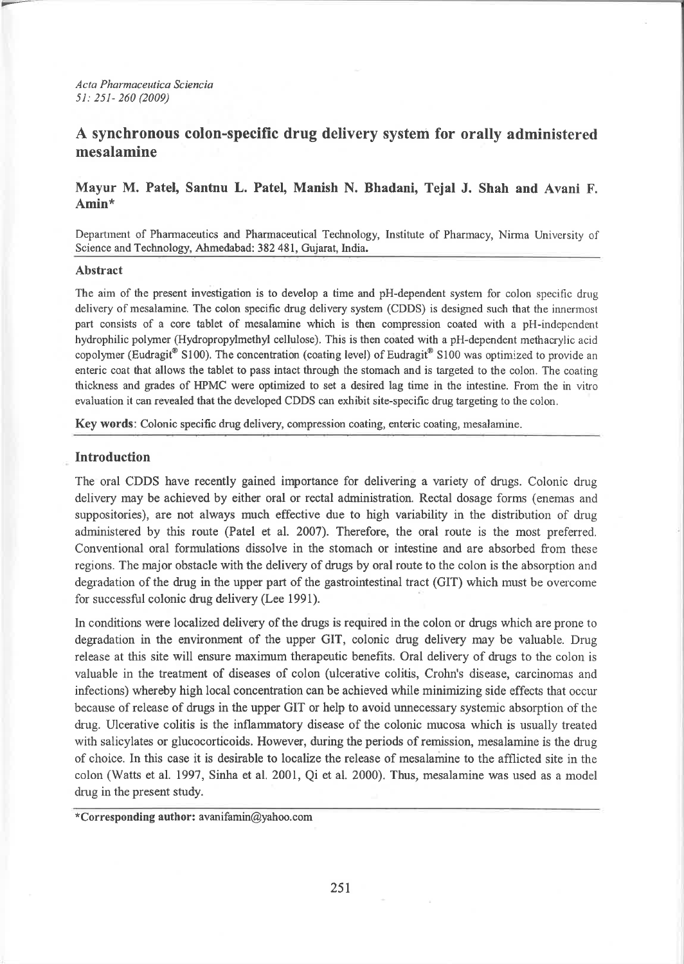Acta Pharmaceutica Sciencia 51: 251- 260 (2009)

# A synchronous colon-specific drug delivery system for orally administered mesalamİne

## Mayur M. Patel, Santnu L. Patel, Manish N. Bhadani, Tejal J. Shah and Avani F. Amin\*

Departınent of Pharmaceutics and Pharmaceutical Technology, Institute of Pharmacy, Nirma University of Science and Technology, Ahmedabad:382 481, Gujarat, India.

#### Abstract

The aim of the present investigation is to develop a time and pH-dependent system for colon specific drug delivery of mesalamine. The colon specific drug delivery system (CDDS) is designed such that the innermost part consists of a core tablet of mesalamine which is then compression coated with a pH-independent hydrophilic polymer (Hydropropylmethyl cellulose). This is then coated with a pH-dependent methacrylic acid copolymer (Eudragit Sl00). The concentration (coating level) of Eudragit Sl00 was optimized to provide an enteric coat that allows the tablet to pass intact through the stomach and is targeted to the colon. The coating thickness and grades of HPMC were optimized to set a desired lag time in the intestine. From the in vitro evaluation it can revealed that the developed CDDS can exhibit site-specific drug targeting to the colon.

Key words: Colonic specific drug delivery, compression coating, enteric coating, mesalamine.

#### Introduction

The oral CDDS have recently gained importance for delivering a variety of drugs. Colonic drug delivery may be achieved by either oral or rectal administration. Rectal dosage forms (enemas and suppositories), are not always much effective due to high variability in the distribution of drug administered by this route (Patel et al. 2007). Therefore, the oral route is the most preferred, Conventional oral formulations dissolve in the stomach or intestine and are absorbed from these regions. The major obstacle with the delivery of drugs by oral route to the colon is the absorption and degradation of the drug in the upper part of the gastrointestinal tract (GIT) which must be overcome for successful colonic drug delivery (Lee 1991).

ln conditions were localized delivery of the drugs is required in the colon or drugs which are prone to degradation in the environment of the upper GIT, colonic drug delivery may be valuable. Drug release at this site will ensure maximum therapeutic benefits. Oral delivery of drugs to the colon is valuable in the treatment of diseases of colon (ulcerative colitis, Crohn's disease, carcinomas and infections) whereby high local concentration can be achieved while minimizing side effects that occur because of release of drugs in the upper GIT or help to avoid unnecessary systemic absorption of the drug. Ulcerative colitis is the inflammatory disease of the colonic mucosa which is usually treated with salicylates or glucocorticoids. However, during the periods of remission, mesalamine is the drug of choice. In this case it is desirable to localize the release of mesalamine to the afflicted site in the colon (Watts et al. 1997, Sinha et al. 2001, Qi et al. 2000). Thus, mesalamine was used as a model drug in the present study.

\*Corresponding author: avanifamin@yahoo.com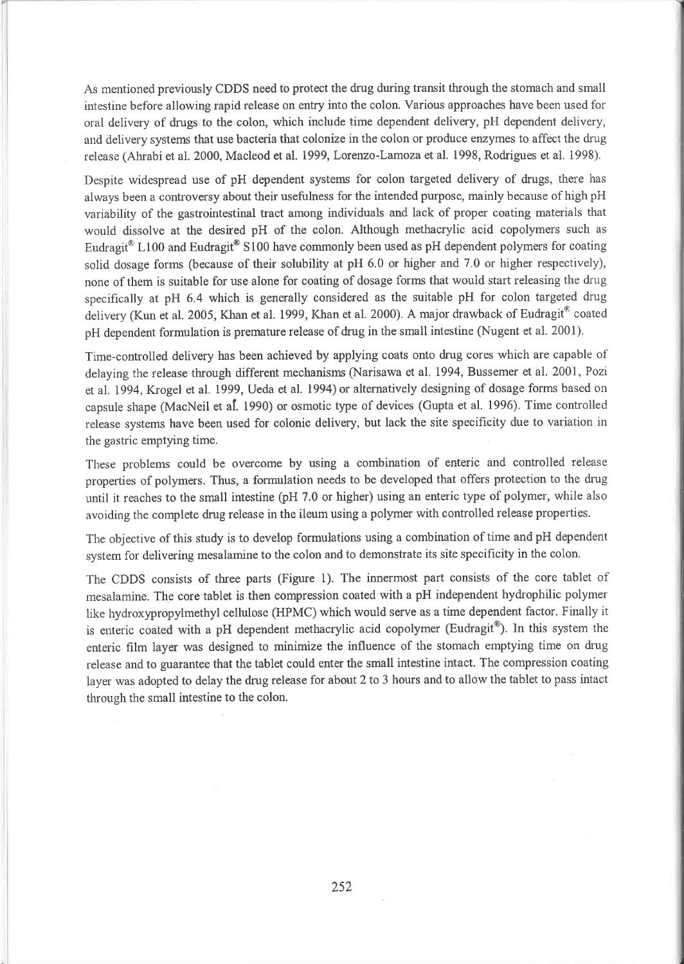As mentioned previously CDDS need to protect the drug during transit through the stomach and small intestine before allowing rapid release on entry into the colon. Various approaches have been used for oral delivery of drugs to the colon, which include time dependent delivery, pH dependent delivery, and delivery systems that use bacteria that colonize in the colon or produce enzymes to affect the drug release (Ahrabi et al. 2000, Macleod et al. 1999, Lorenzo-Lamoza et al. 1998, Rodrigues et al. 1998).

Despite widespread use of pH dependent systems for colon targeted delivery of drugs, there has always been a controversy about their usefulness for the intended purpose, mainly because of high pH variability of the gastrointestinal tract among individuals and lack of proper coating materials that worıld dissolve at the desired pH of the colon. Although methacrylic acid copolymers such as Eudragit<sup>®</sup> L100 and Eudragit<sup>®</sup> S100 have commonly been used as pH dependent polymers for coating solid dosage forms (because of their solubility at pH 6.0 or higher and 7.0 or higher respectively), none of them is suitable for use alone for coating of dosage forms that would start releasing the drug specifically at pH 6.4 which is generally considered as the suitable pH for colon targeted drug delivery (Kun et al. 2005, Khan et al. 1999, Khan et al. 2000). A major drawback of Eudragit® coated pH dependent formulation is premature release of drug in the small intestine (Nugent et al. 2001).

Time-controlled delivery has been achieved by applying coats onto drug cores which are capable of delaying the release through different mechanisms (Narisawa et al. 1994, Bussemer et al. 2001, Pozi et al. 1994, Krogel et al. 1999, Ueda et al. 1994) or alternatively designing of dosage forms based on capsule shape (MacNeil et al. 1990) or osmotic type of devices (Gupta etal.1996). Time controlled release systems have been used for colonic delivery, but lack the site specificity due to variation in the gastric emptying time.

These problems could be overcome by using a combination of enteric and controlled release properties of polymers. Thus, a formulation needs to be developed that offers protection to the drug until it reaches to the small intestine (pH 7.0 or higher) using an enteric type of polymer, while also avoiding the complete drug release in the ileum using a polymer with controlled release properties.

The objective of this study is to develop formulations using a combination of time and pH dependent system for delivering mesalamine to the colon and to demonstrate its site specificity in the colon.

The CDDS consists of three parts (Figure 1). The innermost part consists of the core tablet of mesalamine. The core tablet is then compression coated with a pH independent hydrophilic polymer like hydroxypropylmethyl cellulose (HPMC) which would serve as a time dependent factor. Finally it is enteric coated with a pH dependent methacrylic acid copolymer (Eudragit®). In this system the enteric film layer was designed to minimize the influence of the stomach emptying time on drug release and to gııarantee that the tablet could enter the small intestine intact. The compression coating layer was adopted to delay the drug release for about 2 to 3 hours and to allow the tablet to pass intact through the small intestine to the colon.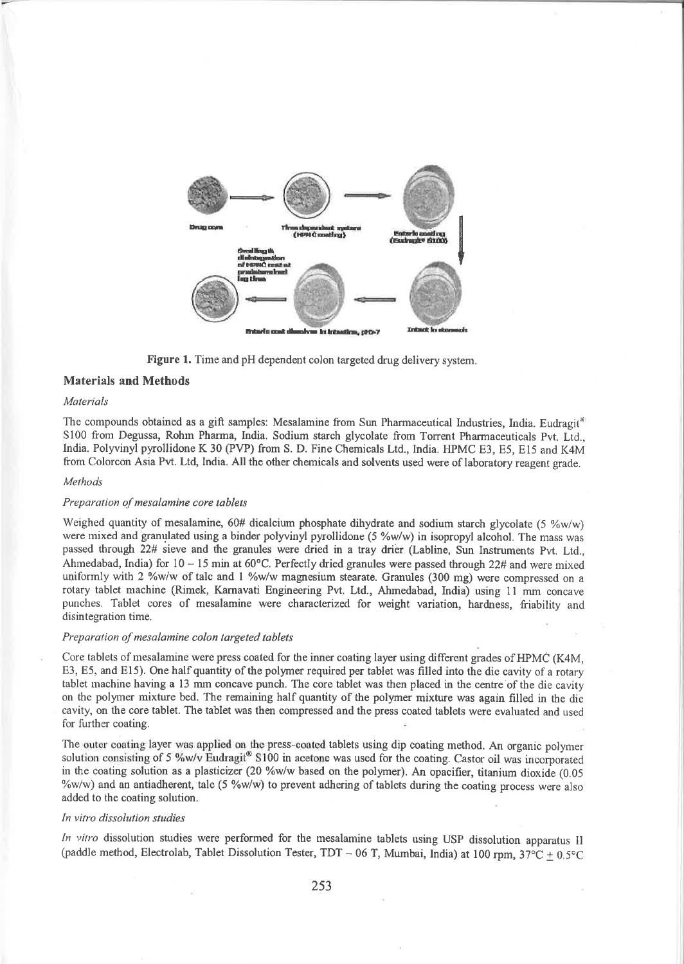

Figure 1. Time and pH dependent colon targeted drug delivery system.

## Materials and Methods

#### Materials

The compounds obtained as a gift samples: Mesalamine from Sun Pharmaceutical Industries, India. Eudragit<sup>at</sup> 5100 fronı Degussa, Rohm Pharma, India. Sodium starch glycolate from Torrent Pharmaceuticals Pvt. Ltd., India. Polyvinyl pyrollidone K 30 (PVP) from S. D. Fine Chemicals Ltd., India. HPMC E3, E5, E15 and K4M from Colorcon Asia Pvt. Ltd, India. All the other chemicals and solvents used were of laboratory reagent grade.

#### Methods

#### Preparation of mesalamine core tablets

Weighed quantity of mesalamine, 60# dicalcium phosphate dihydrate and sodium starch glycolate (5  $\%w/w$ ) were mixed and granulated using a binder polyvinyl pyrollidone (5 %w/w) in isopropyl alcohol. The mass was passed through 22# sieve and the granules were dried in a tray drier (Labline, Sun Instruments Pvt. Ltd., Ahmedabad, India) for  $10 - 15$  min at  $60^{\circ}$ C. Perfectly dried granules were passed through 22# and were mixed uniformly with 2  $\%$ w/w of talc and 1  $\%$ w/w magnesium stearate. Granules (300 mg) were compressed on a rotary tablet machine (Rimek, Karnavati Engineering Pvt. Ltd., Ahmedabad, India) using 11 mm concave punches. Tablet cores of mesalamine were characterized for weight variation, hardness, friability and disintegration time.

#### Preparation of mesalamine colon targeted tablets

Core tablets of mesalamine were press coated for the inner coating layer using different grades of HPMC (K4M, E3, E5, and El5). One half quantity of the polymer required per tablet was filled into the die cavity of a rotary tablet machine having a 13 mm concave punch. The core tablet was then placed in the centre of the die cavity on the polyıer mixture bed. The remaining half quantity of the polymer mixfurç was again filled in the die cavity, on the core tablet. The tablet was then compressed and the press coated tablets were evaluated and used for further coating.

The outer coating layer was applied on the press-coated tablets using dip coating method. An organic polymer solution consisting of 5 %w/v Eudragit® S100 in acetone was used for the coating. Castor oil was incorporated in the coating solution as a plasticizer (20 %w/w based on the polymer). An opacifier, titanium dioxide (0.05 %w/w) and an antiadherent, talc (5 %w/w) to prevent adhering of tablets during the coating process were also added to the coating solution.

#### In vitro dissolution studies

In vitro dissolution studies were performed for the mesalamine tablets using USP dissolution apparatus Il (paddle method, Electrolab, Tablet Dissolution Tester, TDT - 06 T, Mumbai, India) at 100 rpm,  $37^{\circ}$ C + 0.5°C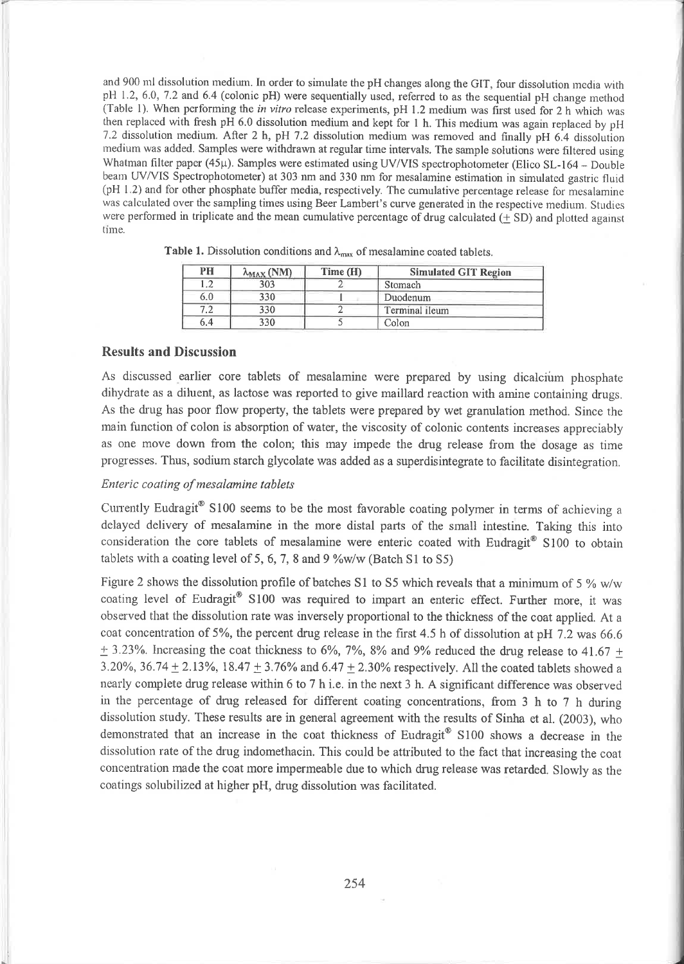and 900 ml dissolution medium. In order to simulate the pH changes along the GIT, four dissolution media with pH 1.2, 6.0, 7.2 and 6.4 (colonic pH) were sequentially used, referred to as the sequential pH change method (Table 1). When performing the in vitro release experiments, pH 1.2 medium was first used for 2 h which was then replaced with fresh pH 6.0 dissolution medium and kept for 1 h. This medium was again replaced by pH 7.2 dissolution medium. After 2 h, pH 7.2 dissolution medium was removed and finally pH 6.4 dissolution medium was added. Samples were withdrawn at regular time intervals. The sample solutions were filtered using Whatman filter paper (45µ). Samples were estimated using UV/VIS spectrophotometer (Elico SL-164 - Double beanı UV/VIS Spectrophotometer) at 303 nm and 330 nm for mesalamine estimation in simulated gastric flııid (pH 1.2) and for other phosphate buffer media, respectively. The cumulative percentage release for mesalamine was calculated over the sampling times using Beer Lambert's curve generated in the respective medium. Studies were performed in triplicate and the mean cumulative percentage of drug calculated  $(+ SD)$  and plotted against time.

| PH      | $\lambda_{\text{MAX}}$ (NM) | Time (H) | <b>Simulated GIT Region</b><br>Stomach |  |
|---------|-----------------------------|----------|----------------------------------------|--|
| l .∠    | 303                         |          |                                        |  |
| 6.0     | 330                         |          | Duodenum                               |  |
| $\cdot$ | 330                         |          | Terminal ileum                         |  |
| 6.4     | 330                         |          | Colon                                  |  |

Table 1. Dissolution conditions and  $\lambda_{\text{max}}$  of mesalamine coated tablets.

## Results and Discussion

 $\sim$ 

As discrıssed earlier core tablets of mesalamine were prepared by using dicalciiım phosphate dihydrate as a diluent, as lactose was reported to give maillard reaction with amine containing drugs. As the drug has poor flow property, the tablets were prepared by wet granulation method. Since the maiıı function of colon is absorption of water, the viscosity of colonic contents increases appreciably as one move down from the colon; this may impede the drug release from the dosage as time progresses. Thus, sodium starch glycolate was added as a superdisintegrate to facilitate disintegration,

## Enteric coating of mesalamine tablets

Currently Eudragit® S100 seems to be the most favorable coating polymer in terms of achieving a delayed delivery of mesalamine in the more distal parts of the small intestine. Taking this into consideration the core tablets of mesalamine were enteric coated with Eudragit<sup>®</sup> S100 to obtain tablets with a coating level of 5, 6, 7, 8 and 9  $\%$ w/w (Batch S1 to S5)

Figure 2 shows the dissolution profile of batches S1 to S5 which reveals that a minimum of 5 % w/w coating level of Eudragit® S100 was required to impart an enteric effect. Further more, it was observed that the dissolution rate was inversely proportional to the thickness of the coat applied. At a coat concentration of 5%, the percent drug release in the first 4.5 h of dissolution at pH 7.2 was 66.6  $\pm$  3.23%. Increasing the coat thickness to 6%, 7%, 8% and 9% reduced the drug release to 41.67  $\pm$ 3.20%, 36.74  $\pm$  2.13%, 18.47  $\pm$  3.76% and 6.47  $\pm$  2.30% respectively. All the coated tablets showed a nearly complete drug release within 6 to 7 h i.e. in the next 3 h. A significant difference was observed in the percentage of drug released for different coating concentrations, from 3 h to 7 h during dissolution study. These results are in general agreement with the results of Sinha et al. (2003), who demonstrated that an increase in the coat thickness of Eudragit® S100 shows a decrease in the dissolution rate of the drug indomethacin. This could be attributed to the fact that increasing the coat coırcentration made the coat more impermeable due to which drug release was retarded. Slowly as the coatings solubilized at higher pH, drug dissolution was facilitated.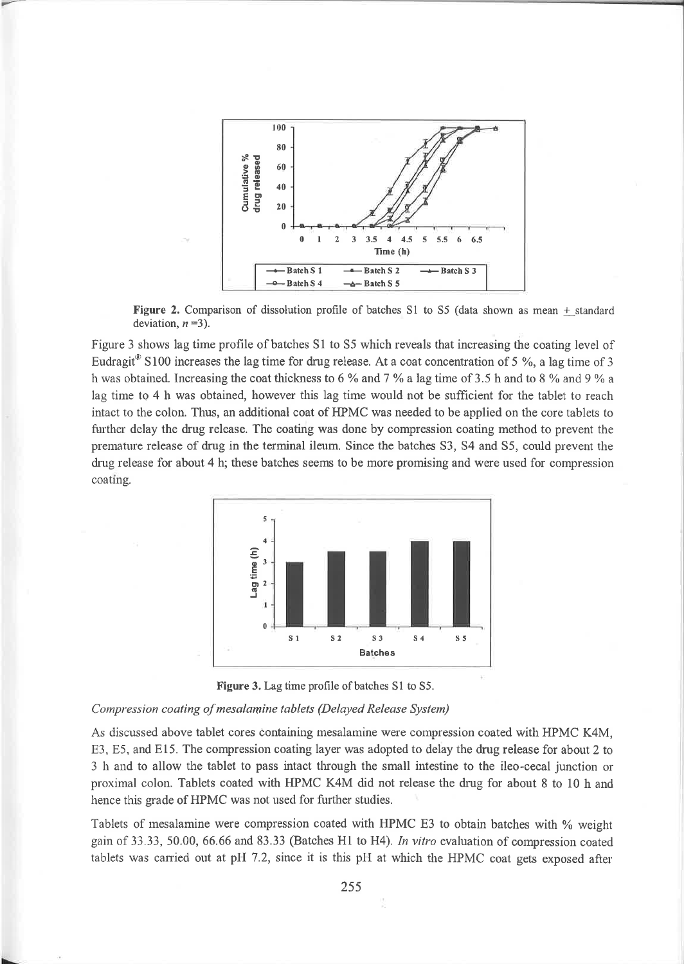

Figure 2. Comparison of dissolution profile of batches S1 to S5 (data shown as mean + standard deviation,  $n=3$ ).

Figure 3 shows lag time profile of batches S1 to S5 which reveals that increasing the coating level of Eudragit<sup>®</sup> S100 increases the lag time for drug release. At a coat concentration of 5 %, a lag time of 3 h was obtained. Increasing the coat thickness to 6 % and 7 % a lag time of 3.5 h and to 8 % and 9 % a lag time to 4 h was obtained, however this lag time would not be sufficient for the tablet to reach intact to the colon. Thus, an additional coat of HPMC was needed to be applied on the core tablets to further delay the drug release. The coating was done by compression coating method to prevent the premature release of drug in the terminal ileum. Since the batches S3, S4 and S5, could prevent the drug release for about 4 h; these batches seems to be more promising and were used for compression coating.





#### Compression coating of mesalamine tablets (Delayed Release System)

As discussed above tablet cores containing mesalamine were compression coated with HPMC K4M, E3, E5, and E15. The compression coating layer was adopted to delay the drug release for about 2 to 3 h and to allow the tablet to pass intact through the small intestine to the ileo-cecal junction or proximal colon. Tablets coated with HPMC K4M did not release the drug for about 8 to 10 h and hence this grade of HPMC was not used for further studies.

Tablets of mesalamine were compression coated with HPMC E3 to obtain batches with % weight gain of 33.33, 50.00, 66.66 and 83.33 (Batches H1 to H4). In vitro evaluation of compression coated tablets was carried out at pH 7.2, since it is this pH at which the HPMC coat gets exposed after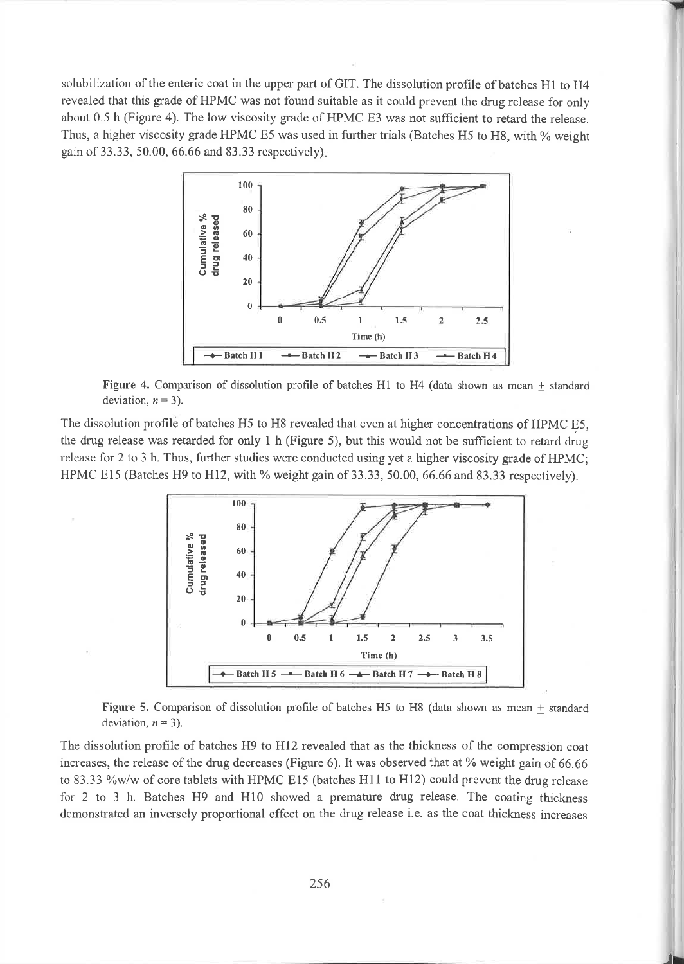solubilization of the enteric coat in the upper part of GIT. The dissolution profile of batches H1 to H4 revealed that this grade of HPMC was not found suitable as it could prevent the drug release for only about 0.5 h (Figure 4). The low viscosity grade of HPMC E3 was not sufficient to retard the release. Thus, a higher viscosity grade HPMC E5 was used in further trials (Batches H5 to H8, with % weight gain of 33.33, 50.00, 66.66 and 83.33 respectively).



Figure 4. Comparison of dissolution profile of batches H1 to H4 (data shown as mean  $\pm$  standard deviation,  $n = 3$ ).

The dissolution profile of batches H5 to H8 revealed that even at higher concentrations of HPMC E5. the drug release was retarded for only 1 h (Figure 5), but this would not be sufficient to retard drug release for 2 to 3 h. Thus, further studies were conducted using yet a higher viscosity grade of HPMC; HPMC E15 (Batches H9 to H12, with % weight gain of 33.33, 50.00, 66.66 and 83.33 respectively).



Figure 5. Comparison of dissolution profile of batches H5 to H8 (data shown as mean  $\pm$  standard deviation,  $n = 3$ ).

The dissolution profile of batches H9 to H12 revealed that as the thickness of the compression coat increases, the release of the drug decreases (Figure 6). It was observed that at % weight gain of 66.66 to 83.33 %w/w of core tablets with HPMC E15 (batches H11 to H12) could prevent the drug release for 2 to 3 h. Batches H9 and H10 showed a premature drug release. The coating thickness demonstrated an inversely proportional effect on the drug release i.e. as the coat thickness increases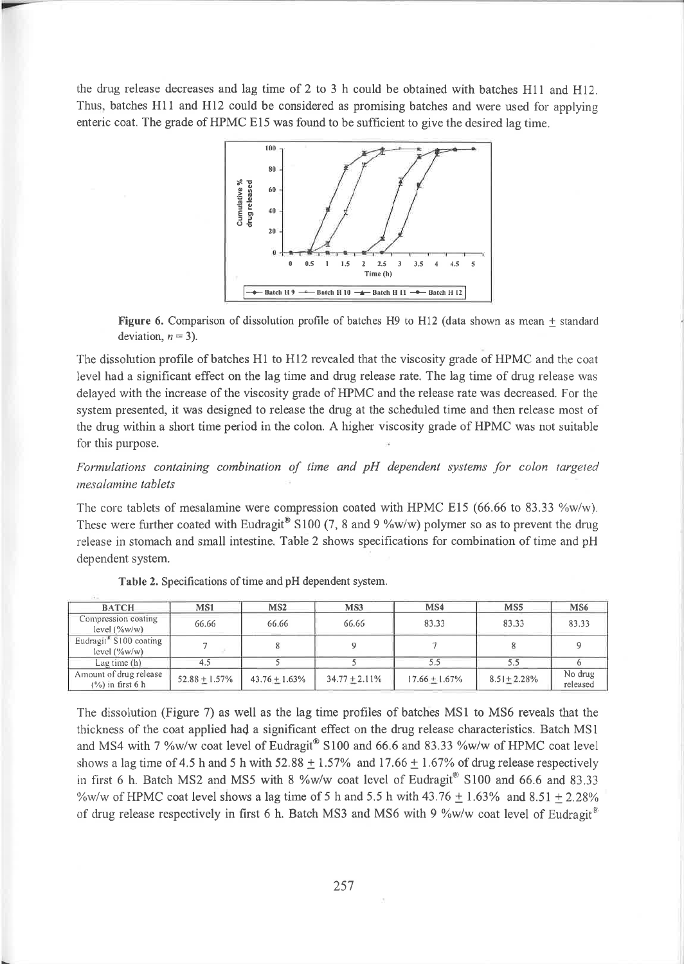the drug release decreases and lag time of 2 to 3 h could be obtained with batches H11 and H12. Thus, batches H11 and H12 could be considered as promising batches and were used for applying enteric coat. The grade of HPMC E15 was found to be sufficient to give the desired lag time.



Figure 6. Comparison of dissolution profile of batches H9 to H12 (data shown as mean  $\pm$  standard deviation,  $n = 3$ ).

The dissolution profile of batches H1 to H12 revealed that the viscosity grade of HPMC and the coat level had a significant effect on the lag time and drug release rate. The lag time of drug release was delayed with the increase of the viscosity grade of HPMC and the release rate was decreased. For the system presented, it was designed to release the drug at the scheduled time and then release most of the drug within a short time period in the colon. A higher viscosity grade of HPMC was not suitable for this purpose.

Formulations containing combination of time and pH dependent systems for colon targeted mesalamine tablets

The core tablets of mesalamine were compression coated with HPMC E15 (66.66 to 83.33  $\%$ w/w). These were further coated with Eudragit<sup>®</sup> S100 (7, 8 and 9 %w/w) polymer so as to prevent the drug release in stomach and small intestine. Table 2 shows specifications for combination of time and pH dependent system.

| <b>BATCH</b>                                          | MS1             | MS2              | MS3              | MS4             | MS5             | MS <sub>6</sub>     |
|-------------------------------------------------------|-----------------|------------------|------------------|-----------------|-----------------|---------------------|
| Compression coating<br>level (%w/w)                   | 66.66           | 66.66            | 66.66            | 83.33           | 83.33           | 83.33               |
| Eudragit <sup>®</sup> S100 coating<br>level $(\%w/w)$ |                 |                  |                  |                 |                 |                     |
| Lag time $(h)$                                        | 4.5             |                  |                  |                 | 5.5             |                     |
| Amount of drug release<br>$(%)$ in first 6 h          | $52.88 + 1.57%$ | $43.76 + 1.63\%$ | $34.77 + 2.11\%$ | $17.66 + 1.67%$ | $8.51 + 2.28\%$ | No drug<br>released |

Table 2. Specifications of time and pH dependent system.

The dissolution (Figure 7) as well as the lag time profiles of batches MS1 to MS6 reveals that the thickness of the coat applied had a significant effect on the drug release characteristics. Batch MS1 and MS4 with 7 %w/w coat level of Eudragit® S100 and 66.6 and 83.33 %w/w of HPMC coat level shows a lag time of 4.5 h and 5 h with  $52.88 \pm 1.57\%$  and 17.66  $\pm$  1.67% of drug release respectively in first 6 h. Batch MS2 and MS5 with 8 %w/w coat level of Eudragit  $\degree$  S100 and 66.6 and 83.33 %w/w of HPMC coat level shows a lag time of 5 h and 5.5 h with  $43.76 + 1.63\%$  and  $8.51 + 2.28\%$ of drug release respectively in first 6 h. Batch MS3 and MS6 with 9 %w/w coat level of Eudragit<sup>®</sup>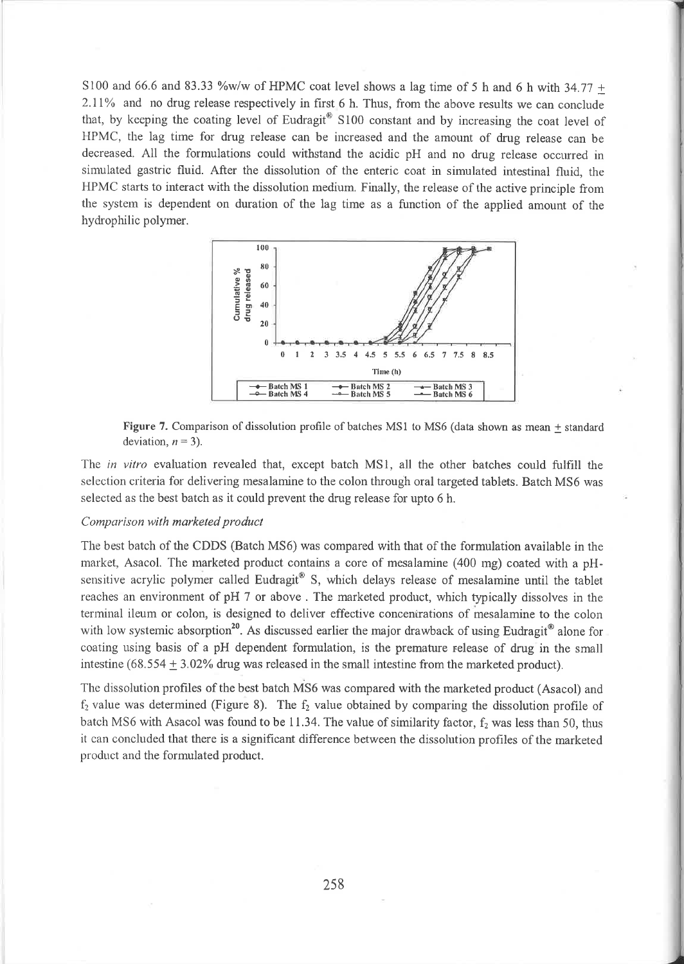S100 and 66.6 and 83.33 %w/w of HPMC coat level shows a lag time of 5 h and 6 h with 34.77 + 2.11% and no drug release respectively in first 6 h. Thus, from the above results we can conclude that, by keeping the coating level of Eudragit<sup>®</sup>  $S100$  constant and by increasing the coat level of HPMC, the lag time for drug release can be increased and the amount of drug release can be decreased. All the formulations could withstand the acidic pH and no drug release occrırred in simulated gastric fluid. After the dissolution of the enteric coat in simulated intestinal fluid, the HPMC starts to interact with the dissolution medium. Finally, the release of the active principle from the system is dependent on duration of the lag time as a function of the applied amount of the hydı'ophilic polymer.



Figure 7. Comparison of dissolution profile of batches MSI to MS6 (data shown as mean + standard deviation,  $n = 3$ ).

The in vitro evaluation revealed that, except batch MS1, all the other batches could fulfill the selection criteria for delivering mesalamine to the colon through oral targeted tablets. Batch MS6 was selected as the best batch as it could prevent the drug release for upto 6 h.

## Comparison with marketed product

The best batch of the CDDS (Batch MS6) was compared with that of the formulation available in the market, Asacol. The marketed product contains a core of mesalamine (400 mg) coated with a pHsensitive acrylic polymer called Eudragit® S, which delays release of mesalamine until the tablet reaches an environment of pH 7 or above . The marketed product, which typically dissolves in the terminal ileum or colon, is designed to deliver effective concentrations of mesalamine to the colon with low systemic absorption<sup>20</sup>. As discussed earlier the major drawback of using Eudragit<sup>®</sup> alone for coating using basis of a pH dependent formulation, is the premature release of drug in the small intestine (68.554  $\pm$  3.02% drug was released in the small intestine from the marketed product).

The dissolution profiles of the best batch MS6 was compared with the marketed product (Asacol) and  $f<sub>2</sub>$  value was determined (Figure 8). The  $f<sub>2</sub>$  value obtained by comparing the dissolution profile of batch MS6 with Asacol was found to be 11.34. The value of similarity factor,  $f_2$  was less than 50, thus it can concluded that there is a significant difference between the dissolution profiles of the marketed product and the formulated product.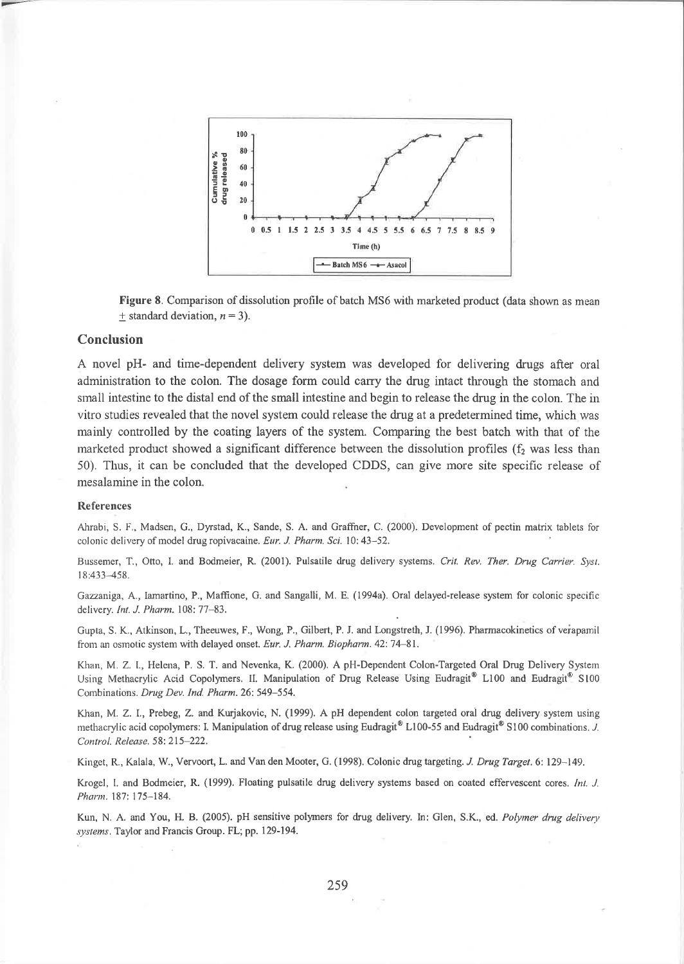

Figure 8. Comparison of dissolution profile of batch MS6 with marketed product (data shown as mean + standard deviation,  $n = 3$ ).

## Conclusion

A novel pH- and time-dependent delivery system was developed for delivering drugs after oral administration to the colon. The dosage form could carry the drug intact through the stomach and small intestine to the distal end of the small intestine and begin to release the drug in the colon. The in vitro studies revealed that the novel system could release the drug at a predetermined time, which was maiırly controlled by the coating layers of the system. Comparing the best batch with that of the marketed product showed a significant difference between the dissolution profiles  $(f<sub>2</sub>$  was less than 50). Thus, it can be concluded that the developed CDDS, can give more site specific release of mesalamine in the colon.

#### References

Ahrabi, S. F., Madsen, G., Dyrstad, K., Sande, S. A. and Graffner, C. (2000). Development of pectin matrix tablets for colonic delivery of model drug ropivacaine. Eur. J. Pharm. Sci. 10: 43-52.

Bussemer, T., Otto, I. and Bodmeier, R. (2001). Pulsatile drug delivery systems. Crit. Rev. Ther. Drug Carrier. Syst. l8:433-458.

Cazzaniga, A., Iamartino, P., Maffione, G. and Sangalli, M. E. (1994a). Oral delayed-release system for colonic specific delivery. Int. J. Pharm. 108: 77-83.

Gupta, S. K., Atkinson, L., Theeuwes, F., Wong, P., Gilbert, P. J. and Longstreth, J. (1996). Pharmacokinetics of veiapamil from an osmotic system with delayed onset. Eur. J. Pharm. Biopharm. 42: 74-81.

Khan, M. Z. I., Helena, P. S. T. and Nevenka, K. (2000). A pH-Dependent Colon-Targeted Oral Drug Delivery System Using Methacrylic Acid Copolymers. II. Manipulation of Drug Release Using Eudragit<sup>®</sup> L100 and Eudragit<sup>®</sup> S100 Combinations. Drug Dev. Ind. Pharm. 26: 549-554.

Klan, M. Z. I., Prebeg, Z. and Kurjakovic, N. (1999). A pH dependent colon targeted oral drug delivery.system using methacrylic acid copolymers: I. Manipulation of drug release using Eudragit® L100-55 and Eudragit® S100 combinations. J. Control. Release. 58: 215-222.

Kinget, R., Kalala, W., Vervoort, L. and Van den Mooter, G. (1998). Colonic drug targeting. J. Drug Target. 6: 129–149.

Krogel, I. and Bodmeier, R. (1999). Floating pulsatile drug delivery systems based on coated effervescent cores. Int. J. Pharm. 187: 175-184.

Kun, N. A. and You, H. B. (2005). pH sensitive polymers for drug delivery. In: Glen, S.K., ed. Polymer drug delivery systems. Taylor and Francis Group. FL; pp. 129-194.